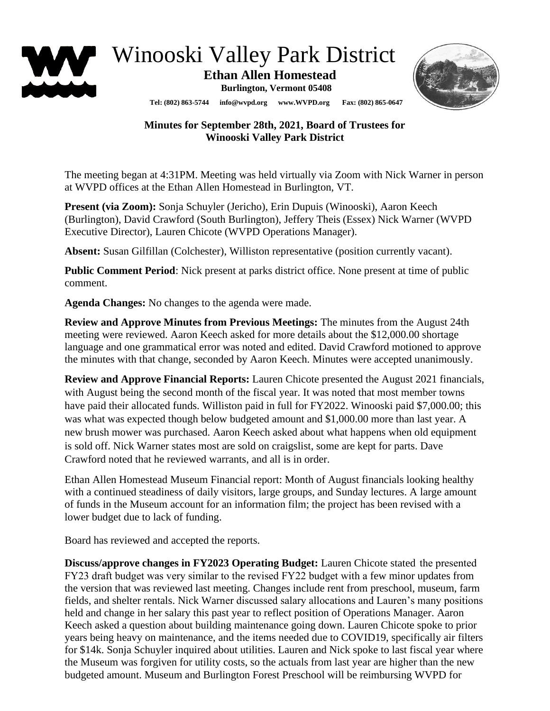

Winooski Valley Park District

 **Ethan Allen Homestead**

**Burlington, Vermont 05408**



**Tel: (802) 863-5744 info@wvpd.org [www.WVPD.org](http://www.wvpd.org/) Fax: (802) 865-0647** 

## **Minutes for September 28th, 2021, Board of Trustees for Winooski Valley Park District**

The meeting began at 4:31PM. Meeting was held virtually via Zoom with Nick Warner in person at WVPD offices at the Ethan Allen Homestead in Burlington, VT.

**Present (via Zoom):** Sonja Schuyler (Jericho), Erin Dupuis (Winooski), Aaron Keech (Burlington), David Crawford (South Burlington), Jeffery Theis (Essex) Nick Warner (WVPD Executive Director), Lauren Chicote (WVPD Operations Manager).

**Absent:** Susan Gilfillan (Colchester), Williston representative (position currently vacant).

**Public Comment Period**: Nick present at parks district office. None present at time of public comment.

**Agenda Changes:** No changes to the agenda were made.

**Review and Approve Minutes from Previous Meetings:** The minutes from the August 24th meeting were reviewed. Aaron Keech asked for more details about the \$12,000.00 shortage language and one grammatical error was noted and edited. David Crawford motioned to approve the minutes with that change, seconded by Aaron Keech. Minutes were accepted unanimously.

**Review and Approve Financial Reports:** Lauren Chicote presented the August 2021 financials, with August being the second month of the fiscal year. It was noted that most member towns have paid their allocated funds. Williston paid in full for FY2022. Winooski paid \$7,000.00; this was what was expected though below budgeted amount and \$1,000.00 more than last year. A new brush mower was purchased. Aaron Keech asked about what happens when old equipment is sold off. Nick Warner states most are sold on craigslist, some are kept for parts. Dave Crawford noted that he reviewed warrants, and all is in order.

Ethan Allen Homestead Museum Financial report: Month of August financials looking healthy with a continued steadiness of daily visitors, large groups, and Sunday lectures. A large amount of funds in the Museum account for an information film; the project has been revised with a lower budget due to lack of funding.

Board has reviewed and accepted the reports.

**Discuss/approve changes in FY2023 Operating Budget:** Lauren Chicote stated the presented FY23 draft budget was very similar to the revised FY22 budget with a few minor updates from the version that was reviewed last meeting. Changes include rent from preschool, museum, farm fields, and shelter rentals. Nick Warner discussed salary allocations and Lauren's many positions held and change in her salary this past year to reflect position of Operations Manager. Aaron Keech asked a question about building maintenance going down. Lauren Chicote spoke to prior years being heavy on maintenance, and the items needed due to COVID19, specifically air filters for \$14k. Sonja Schuyler inquired about utilities. Lauren and Nick spoke to last fiscal year where the Museum was forgiven for utility costs, so the actuals from last year are higher than the new budgeted amount. Museum and Burlington Forest Preschool will be reimbursing WVPD for